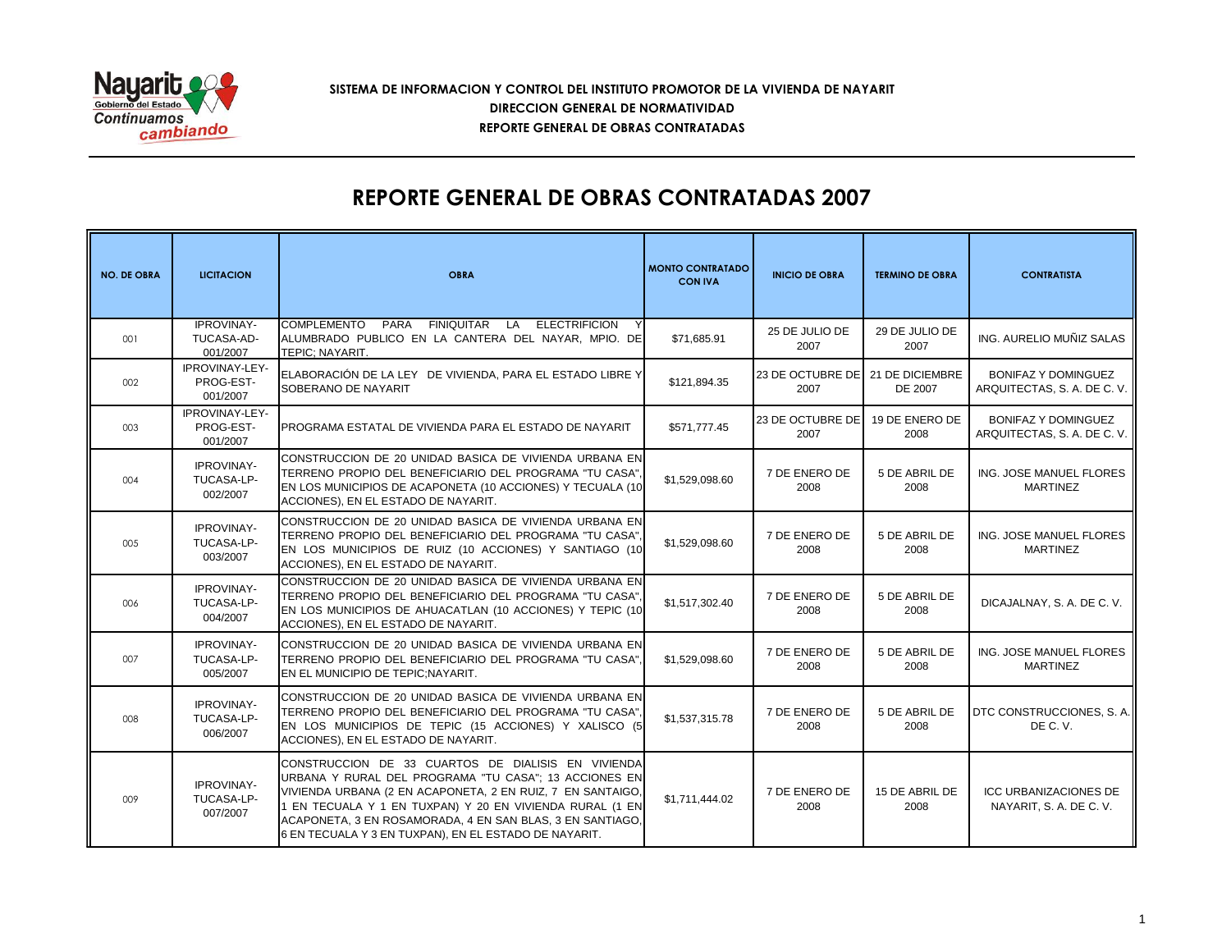

### **SISTEMA DE INFORMACION Y CONTROL DEL INSTITUTO PROMOTOR DE LA VIVIENDA DE NAYARIT REPORTE GENERAL DE OBRAS CONTRATADAS DIRECCION GENERAL DE NORMATIVIDAD**

# **REPORTE GENERAL DE OBRAS CONTRATADAS 2007**

| <b>NO. DE OBRA</b> | <b>LICITACION</b>                           | <b>OBRA</b>                                                                                                                                                                                                                                                                                                                                                 | <b>MONTO CONTRATADO</b><br><b>CON IVA</b> | <b>INICIO DE OBRA</b>                    | <b>TERMINO DE OBRA</b> | <b>CONTRATISTA</b>                                        |
|--------------------|---------------------------------------------|-------------------------------------------------------------------------------------------------------------------------------------------------------------------------------------------------------------------------------------------------------------------------------------------------------------------------------------------------------------|-------------------------------------------|------------------------------------------|------------------------|-----------------------------------------------------------|
| 001                | <b>IPROVINAY-</b><br>TUCASA-AD-<br>001/2007 | COMPLEMENTO PARA FINIQUITAR LA<br><b>ELECTRIFICION</b><br>ALUMBRADO PUBLICO EN LA CANTERA DEL NAYAR, MPIO. DE<br>TEPIC: NAYARIT.                                                                                                                                                                                                                            | \$71.685.91                               | 25 DE JULIO DE<br>2007                   | 29 DE JULIO DE<br>2007 | ING. AURELIO MUÑIZ SALAS                                  |
| 002                | IPROVINAY-LEY-<br>PROG-EST-<br>001/2007     | ELABORACIÓN DE LA LEY DE VIVIENDA, PARA EL ESTADO LIBRE Y<br>SOBERANO DE NAYARIT                                                                                                                                                                                                                                                                            | \$121,894.35                              | 23 DE OCTUBRE DE 21 DE DICIEMBRE<br>2007 | DE 2007                | <b>BONIFAZ Y DOMINGUEZ</b><br>ARQUITECTAS, S. A. DE C. V. |
| 003                | IPROVINAY-LEY-<br>PROG-EST-<br>001/2007     | PROGRAMA ESTATAL DE VIVIENDA PARA EL ESTADO DE NAYARIT                                                                                                                                                                                                                                                                                                      | \$571,777.45                              | 23 DE OCTUBRE DE 19 DE ENERO DE<br>2007  | 2008                   | <b>BONIFAZ Y DOMINGUEZ</b><br>ARQUITECTAS, S. A. DE C. V. |
| 004                | <b>IPROVINAY-</b><br>TUCASA-LP-<br>002/2007 | CONSTRUCCION DE 20 UNIDAD BASICA DE VIVIENDA URBANA EN<br>TERRENO PROPIO DEL BENEFICIARIO DEL PROGRAMA "TU CASA",<br>EN LOS MUNICIPIOS DE ACAPONETA (10 ACCIONES) Y TECUALA (10<br>ACCIONES), EN EL ESTADO DE NAYARIT.                                                                                                                                      | \$1,529,098.60                            | 7 DE ENERO DE<br>2008                    | 5 DE ABRIL DE<br>2008  | ING. JOSE MANUEL FLORES<br><b>MARTINEZ</b>                |
| $005 -$            | <b>IPROVINAY-</b><br>TUCASA-LP-<br>003/2007 | CONSTRUCCION DE 20 UNIDAD BASICA DE VIVIENDA URBANA EN<br>TERRENO PROPIO DEL BENEFICIARIO DEL PROGRAMA "TU CASA",<br>EN LOS MUNICIPIOS DE RUIZ (10 ACCIONES) Y SANTIAGO (10<br>ACCIONES), EN EL ESTADO DE NAYARIT.                                                                                                                                          | \$1,529,098.60                            | 7 DE ENERO DE<br>2008                    | 5 DE ABRIL DE<br>2008  | ING. JOSE MANUEL FLORES<br><b>MARTINEZ</b>                |
| 006                | <b>IPROVINAY-</b><br>TUCASA-LP-<br>004/2007 | CONSTRUCCION DE 20 UNIDAD BASICA DE VIVIENDA URBANA EN<br>TERRENO PROPIO DEL BENEFICIARIO DEL PROGRAMA "TU CASA".<br>EN LOS MUNICIPIOS DE AHUACATLAN (10 ACCIONES) Y TEPIC (10<br>ACCIONES), EN EL ESTADO DE NAYARIT.                                                                                                                                       | \$1,517,302.40                            | 7 DE ENERO DE<br>2008                    | 5 DE ABRIL DE<br>2008  | DICAJALNAY, S. A. DE C. V.                                |
| 007                | <b>IPROVINAY-</b><br>TUCASA-LP-<br>005/2007 | CONSTRUCCION DE 20 UNIDAD BASICA DE VIVIENDA URBANA EN<br>TERRENO PROPIO DEL BENEFICIARIO DEL PROGRAMA "TU CASA".<br>EN EL MUNICIPIO DE TEPIC; NAYARIT.                                                                                                                                                                                                     | \$1,529,098.60                            | 7 DE ENERO DE<br>2008                    | 5 DE ABRIL DE<br>2008  | ING. JOSE MANUEL FLORES<br><b>MARTINEZ</b>                |
| 008                | <b>IPROVINAY-</b><br>TUCASA-LP-<br>006/2007 | CONSTRUCCION DE 20 UNIDAD BASICA DE VIVIENDA URBANA EN<br>TERRENO PROPIO DEL BENEFICIARIO DEL PROGRAMA "TU CASA",<br>EN LOS MUNICIPIOS DE TEPIC (15 ACCIONES) Y XALISCO (5<br>ACCIONES), EN EL ESTADO DE NAYARIT.                                                                                                                                           | \$1,537,315.78                            | 7 DE ENERO DE<br>2008                    | 5 DE ABRIL DE<br>2008  | DTC CONSTRUCCIONES, S.A.<br>DE C.V.                       |
| 009                | <b>IPROVINAY-</b><br>TUCASA-LP-<br>007/2007 | CONSTRUCCION DE 33 CUARTOS DE DIALISIS EN VIVIENDA<br>URBANA Y RURAL DEL PROGRAMA "TU CASA"; 13 ACCIONES EN<br>VIVIENDA URBANA (2 EN ACAPONETA, 2 EN RUIZ, 7 EN SANTAIGO,<br>1 EN TECUALA Y 1 EN TUXPAN) Y 20 EN VIVIENDA RURAL (1 EN<br>ACAPONETA, 3 EN ROSAMORADA, 4 EN SAN BLAS, 3 EN SANTIAGO,<br>6 EN TECUALA Y 3 EN TUXPAN), EN EL ESTADO DE NAYARIT. | \$1,711,444.02                            | 7 DE ENERO DE<br>2008                    | 15 DE ABRIL DE<br>2008 | <b>ICC URBANIZACIONES DE</b><br>NAYARIT, S. A. DE C. V.   |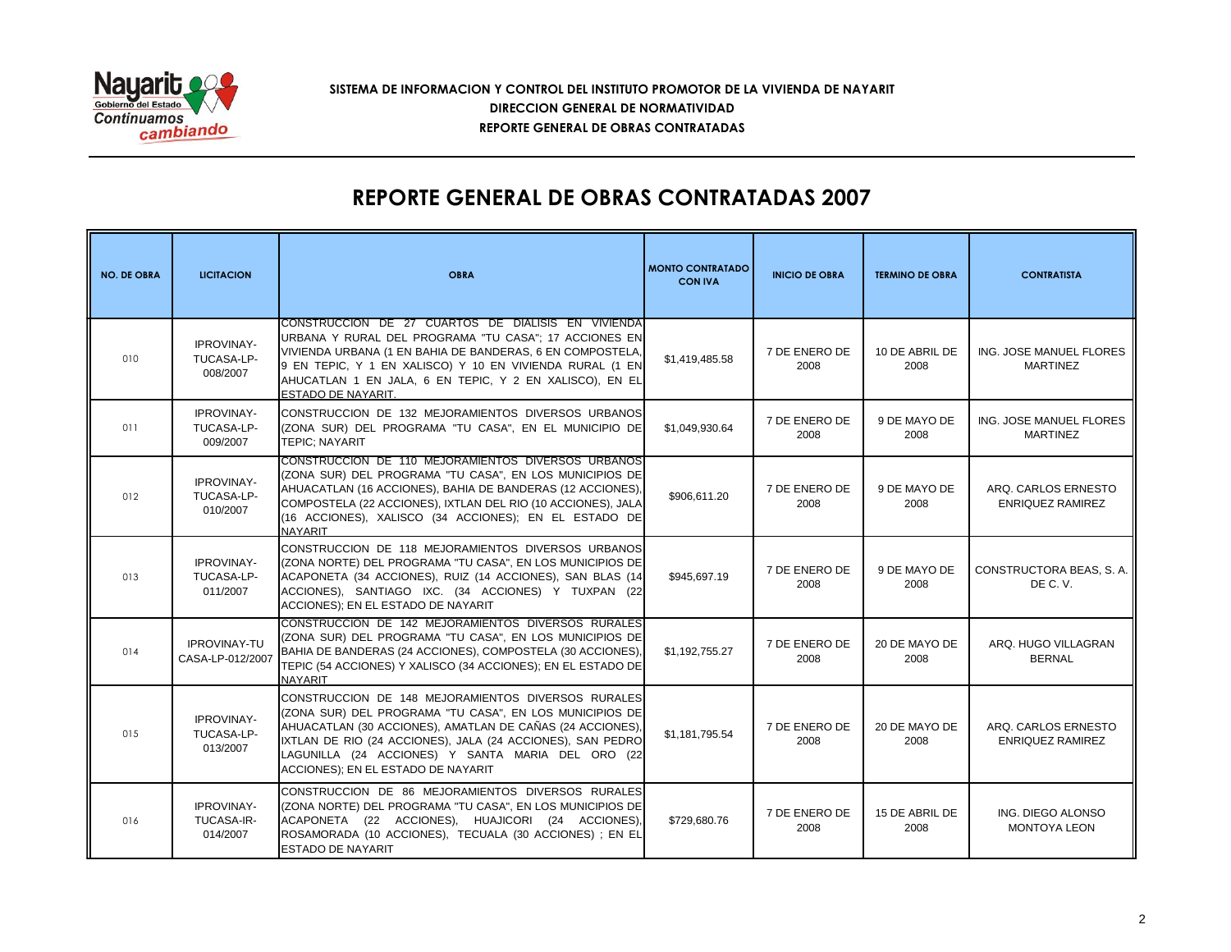

### **SISTEMA DE INFORMACION Y CONTROL DEL INSTITUTO PROMOTOR DE LA VIVIENDA DE NAYARIT REPORTE GENERAL DE OBRAS CONTRATADAS DIRECCION GENERAL DE NORMATIVIDAD**

# **REPORTE GENERAL DE OBRAS CONTRATADAS 2007**

| <b>NO. DE OBRA</b> | <b>LICITACION</b>                           | <b>OBRA</b>                                                                                                                                                                                                                                                                                                                         | <b>MONTO CONTRATADO</b><br><b>CON IVA</b> | <b>INICIO DE OBRA</b> | <b>TERMINO DE OBRA</b> | <b>CONTRATISTA</b>                             |
|--------------------|---------------------------------------------|-------------------------------------------------------------------------------------------------------------------------------------------------------------------------------------------------------------------------------------------------------------------------------------------------------------------------------------|-------------------------------------------|-----------------------|------------------------|------------------------------------------------|
| 010                | <b>IPROVINAY-</b><br>TUCASA-LP-<br>008/2007 | CONSTRUCCION DE 27 CUARTOS DE DIALISIS EN VIVIENDA<br>URBANA Y RURAL DEL PROGRAMA "TU CASA"; 17 ACCIONES EN<br>VIVIENDA URBANA (1 EN BAHIA DE BANDERAS, 6 EN COMPOSTELA,<br>9 EN TEPIC, Y 1 EN XALISCO) Y 10 EN VIVIENDA RURAL (1 EN<br>AHUCATLAN 1 EN JALA, 6 EN TEPIC, Y 2 EN XALISCO), EN EL<br>ESTADO DE NAYARIT.               | \$1,419,485.58                            | 7 DE ENERO DE<br>2008 | 10 DE ABRIL DE<br>2008 | ING. JOSE MANUEL FLORES<br><b>MARTINEZ</b>     |
| 011                | <b>IPROVINAY-</b><br>TUCASA-LP-<br>009/2007 | CONSTRUCCION DE 132 MEJORAMIENTOS DIVERSOS URBANOS<br>(ZONA SUR) DEL PROGRAMA "TU CASA", EN EL MUNICIPIO DE<br><b>TEPIC: NAYARIT</b>                                                                                                                                                                                                | \$1.049.930.64                            | 7 DE ENERO DE<br>2008 | 9 DE MAYO DE<br>2008   | ING. JOSE MANUEL FLORES<br><b>MARTINEZ</b>     |
| 012                | <b>IPROVINAY-</b><br>TUCASA-LP-<br>010/2007 | CONSTRUCCION DE 110 MEJORAMIENTOS DIVERSOS URBANOS<br>(ZONA SUR) DEL PROGRAMA "TU CASA". EN LOS MUNICIPIOS DE<br>AHUACATLAN (16 ACCIONES), BAHIA DE BANDERAS (12 ACCIONES),<br>COMPOSTELA (22 ACCIONES), IXTLAN DEL RIO (10 ACCIONES), JALA<br>(16 ACCIONES), XALISCO (34 ACCIONES); EN EL ESTADO DE<br><b>NAYARIT</b>              | \$906,611.20                              | 7 DE ENERO DE<br>2008 | 9 DE MAYO DE<br>2008   | ARQ. CARLOS ERNESTO<br><b>ENRIQUEZ RAMIREZ</b> |
| 013                | <b>IPROVINAY-</b><br>TUCASA-LP-<br>011/2007 | CONSTRUCCION DE 118 MEJORAMIENTOS DIVERSOS URBANOS<br>(ZONA NORTE) DEL PROGRAMA "TU CASA", EN LOS MUNICIPIOS DE<br>ACAPONETA (34 ACCIONES), RUIZ (14 ACCIONES), SAN BLAS (14<br>ACCIONES), SANTIAGO IXC. (34 ACCIONES) Y TUXPAN (22<br>ACCIONES); EN EL ESTADO DE NAYARIT                                                           | \$945.697.19                              | 7 DE ENERO DE<br>2008 | 9 DE MAYO DE<br>2008   | CONSTRUCTORA BEAS, S.A.<br>DE C.V.             |
| 014                | <b>IPROVINAY-TU</b><br>CASA-LP-012/2007     | CONSTRUCCION DE 142 MEJORAMIENTOS DIVERSOS RURALES<br>(ZONA SUR) DEL PROGRAMA "TU CASA", EN LOS MUNICIPIOS DE<br>BAHIA DE BANDERAS (24 ACCIONES), COMPOSTELA (30 ACCIONES),<br>TEPIC (54 ACCIONES) Y XALISCO (34 ACCIONES); EN EL ESTADO DE<br><b>NAYARIT</b>                                                                       | \$1,192,755.27                            | 7 DE ENERO DE<br>2008 | 20 DE MAYO DE<br>2008  | ARQ. HUGO VILLAGRAN<br><b>BERNAL</b>           |
| 015                | <b>IPROVINAY-</b><br>TUCASA-LP-<br>013/2007 | CONSTRUCCION DE 148 MEJORAMIENTOS DIVERSOS RURALES<br>(ZONA SUR) DEL PROGRAMA "TU CASA", EN LOS MUNICIPIOS DE<br>AHUACATLAN (30 ACCIONES), AMATLAN DE CAÑAS (24 ACCIONES),<br>IXTLAN DE RIO (24 ACCIONES), JALA (24 ACCIONES), SAN PEDRO<br>LAGUNILLA (24 ACCIONES) Y SANTA MARIA DEL ORO (22<br>ACCIONES): EN EL ESTADO DE NAYARIT | \$1.181.795.54                            | 7 DE ENERO DE<br>2008 | 20 DE MAYO DE<br>2008  | ARQ. CARLOS ERNESTO<br><b>ENRIQUEZ RAMIREZ</b> |
| 016                | <b>IPROVINAY-</b><br>TUCASA-IR-<br>014/2007 | CONSTRUCCION DE 86 MEJORAMIENTOS DIVERSOS RURALES<br>(ZONA NORTE) DEL PROGRAMA "TU CASA", EN LOS MUNICIPIOS DE<br>ACAPONETA (22 ACCIONES), HUAJICORI (24 ACCIONES),<br>ROSAMORADA (10 ACCIONES), TECUALA (30 ACCIONES) ; EN EL<br><b>ESTADO DE NAYARIT</b>                                                                          | \$729,680.76                              | 7 DE ENERO DE<br>2008 | 15 DE ABRIL DE<br>2008 | ING. DIEGO ALONSO<br>MONTOYA LEON              |